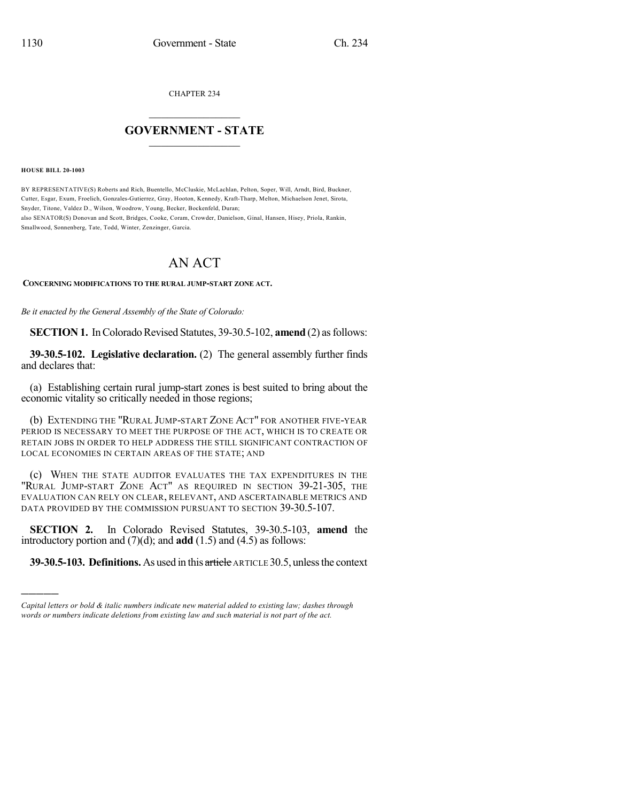CHAPTER 234

## $\overline{\phantom{a}}$  . The set of the set of the set of the set of the set of the set of the set of the set of the set of the set of the set of the set of the set of the set of the set of the set of the set of the set of the set o **GOVERNMENT - STATE**  $\_$

**HOUSE BILL 20-1003**

)))))

BY REPRESENTATIVE(S) Roberts and Rich, Buentello, McCluskie, McLachlan, Pelton, Soper, Will, Arndt, Bird, Buckner, Cutter, Esgar, Exum, Froelich, Gonzales-Gutierrez, Gray, Hooton, Kennedy, Kraft-Tharp, Melton, Michaelson Jenet, Sirota, Snyder, Titone, Valdez D., Wilson, Woodrow, Young, Becker, Bockenfeld, Duran; also SENATOR(S) Donovan and Scott, Bridges, Cooke, Coram, Crowder, Danielson, Ginal, Hansen, Hisey, Priola, Rankin, Smallwood, Sonnenberg, Tate, Todd, Winter, Zenzinger, Garcia.

# AN ACT

**CONCERNING MODIFICATIONS TO THE RURAL JUMP-START ZONE ACT.**

*Be it enacted by the General Assembly of the State of Colorado:*

**SECTION 1.** In Colorado Revised Statutes, 39-30.5-102, **amend** (2) as follows:

**39-30.5-102. Legislative declaration.** (2) The general assembly further finds and declares that:

(a) Establishing certain rural jump-start zones is best suited to bring about the economic vitality so critically needed in those regions;

(b) EXTENDING THE "RURAL JUMP-START ZONE ACT" FOR ANOTHER FIVE-YEAR PERIOD IS NECESSARY TO MEET THE PURPOSE OF THE ACT, WHICH IS TO CREATE OR RETAIN JOBS IN ORDER TO HELP ADDRESS THE STILL SIGNIFICANT CONTRACTION OF LOCAL ECONOMIES IN CERTAIN AREAS OF THE STATE; AND

(c) WHEN THE STATE AUDITOR EVALUATES THE TAX EXPENDITURES IN THE "RURAL JUMP-START ZONE ACT" AS REQUIRED IN SECTION 39-21-305, THE EVALUATION CAN RELY ON CLEAR, RELEVANT, AND ASCERTAINABLE METRICS AND DATA PROVIDED BY THE COMMISSION PURSUANT TO SECTION 39-30.5-107.

**SECTION 2.** In Colorado Revised Statutes, 39-30.5-103, **amend** the introductory portion and (7)(d); and **add** (1.5) and (4.5) as follows:

**39-30.5-103. Definitions.** As used in this article ARTICLE 30.5, unlessthe context

*Capital letters or bold & italic numbers indicate new material added to existing law; dashes through words or numbers indicate deletions from existing law and such material is not part of the act.*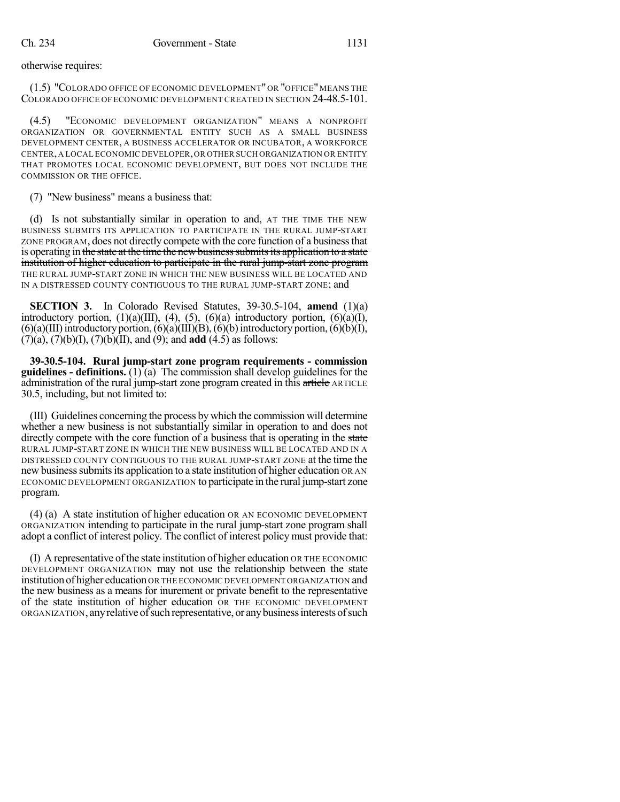otherwise requires:

(1.5) "COLORADO OFFICE OF ECONOMIC DEVELOPMENT" OR "OFFICE" MEANS THE COLORADO OFFICE OF ECONOMIC DEVELOPMENT CREATED IN SECTION 24-48.5-101.

(4.5) "ECONOMIC DEVELOPMENT ORGANIZATION" MEANS A NONPROFIT ORGANIZATION OR GOVERNMENTAL ENTITY SUCH AS A SMALL BUSINESS DEVELOPMENT CENTER, A BUSINESS ACCELERATOR OR INCUBATOR, A WORKFORCE CENTER,A LOCAL ECONOMIC DEVELOPER,OR OTHER SUCH ORGANIZATION OR ENTITY THAT PROMOTES LOCAL ECONOMIC DEVELOPMENT, BUT DOES NOT INCLUDE THE COMMISSION OR THE OFFICE.

(7) "New business" means a business that:

(d) Is not substantially similar in operation to and, AT THE TIME THE NEW BUSINESS SUBMITS ITS APPLICATION TO PARTICIPATE IN THE RURAL JUMP-START ZONE PROGRAM, does not directly compete with the core function of a businessthat is operating in the state at the time the new business submits its application to a state institution of higher education to participate in the rural jump-start zone program THE RURAL JUMP-START ZONE IN WHICH THE NEW BUSINESS WILL BE LOCATED AND IN A DISTRESSED COUNTY CONTIGUOUS TO THE RURAL JUMP-START ZONE; and

**SECTION 3.** In Colorado Revised Statutes, 39-30.5-104, **amend** (1)(a) introductory portion,  $(1)(a)(III)$ ,  $(4)$ ,  $(5)$ ,  $(6)(a)$  introductory portion,  $(6)(a)(I)$ ,  $(6)(a)(III)$  introductory portion,  $(6)(a)(III)(B)$ ,  $(6)(b)$  introductory portion,  $(6)(b)(I)$ , (7)(a), (7)(b)(I), (7)(b)(II), and (9); and **add** (4.5) as follows:

**39-30.5-104. Rural jump-start zone program requirements - commission guidelines - definitions.** (1) (a) The commission shall develop guidelines for the administration of the rural jump-start zone program created in this article ARTICLE 30.5, including, but not limited to:

(III) Guidelines concerning the process bywhich the commission will determine whether a new business is not substantially similar in operation to and does not directly compete with the core function of a business that is operating in the state RURAL JUMP-START ZONE IN WHICH THE NEW BUSINESS WILL BE LOCATED AND IN A DISTRESSED COUNTY CONTIGUOUS TO THE RURAL JUMP-START ZONE at the time the new business submits its application to a state institution of higher education OR AN ECONOMIC DEVELOPMENT ORGANIZATION to participate in the rural jump-start zone program.

(4) (a) A state institution of higher education OR AN ECONOMIC DEVELOPMENT ORGANIZATION intending to participate in the rural jump-start zone program shall adopt a conflict of interest policy. The conflict of interest policy must provide that:

(I) A representative ofthe state institution of higher education OR THE ECONOMIC DEVELOPMENT ORGANIZATION may not use the relationship between the state institution of higher education OR THE ECONOMIC DEVELOPMENT ORGANIZATION and the new business as a means for inurement or private benefit to the representative of the state institution of higher education OR THE ECONOMIC DEVELOPMENT ORGANIZATION, anyrelative ofsuch representative, or anybusinessinterestsofsuch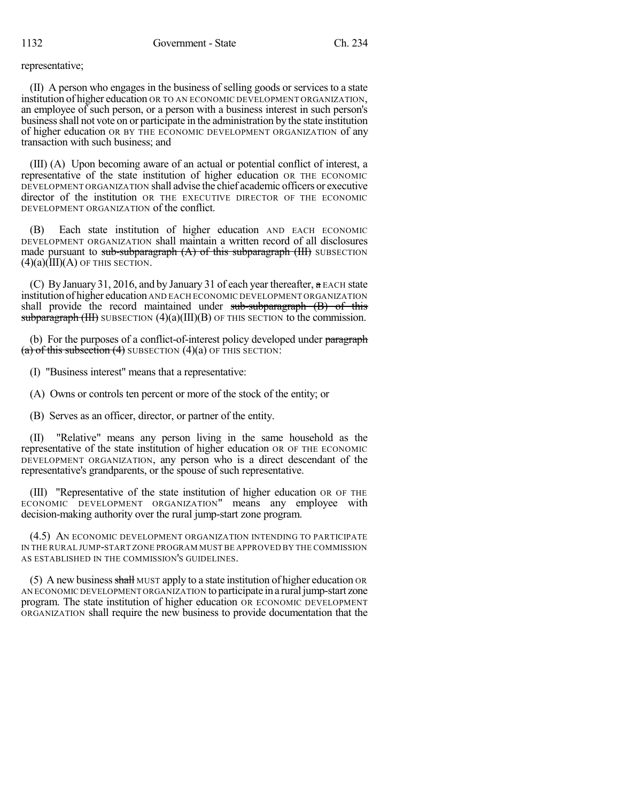representative;

(II) A person who engages in the business of selling goods or services to a state institution of higher education OR TO AN ECONOMIC DEVELOPMENT ORGANIZATION, an employee of such person, or a person with a business interest in such person's businessshall not vote on or participate in the administration by the state institution of higher education OR BY THE ECONOMIC DEVELOPMENT ORGANIZATION of any transaction with such business; and

(III) (A) Upon becoming aware of an actual or potential conflict of interest, a representative of the state institution of higher education OR THE ECONOMIC DEVELOPMENT ORGANIZATION shall advise the chief academic officers or executive director of the institution OR THE EXECUTIVE DIRECTOR OF THE ECONOMIC DEVELOPMENT ORGANIZATION of the conflict.

(B) Each state institution of higher education AND EACH ECONOMIC DEVELOPMENT ORGANIZATION shall maintain a written record of all disclosures made pursuant to sub-subparagraph  $(A)$  of this subparagraph  $(HI)$  SUBSECTION  $(4)(a)(III)(A)$  OF THIS SECTION.

(C) By January 31, 2016, and by January 31 of each year thereafter, a EACH state institution of higher education AND EACH ECONOMIC DEVELOPMENT ORGANIZATION shall provide the record maintained under sub-subparagraph (B) of this subparagraph  $(HH)$  SUBSECTION  $(4)(a)(III)(B)$  OF THIS SECTION to the commission.

(b) For the purposes of a conflict-of-interest policy developed under paragraph (a) of this subsection  $(4)$  SUBSECTION  $(4)(a)$  OF THIS SECTION:

(I) "Business interest" means that a representative:

(A) Owns or controls ten percent or more of the stock of the entity; or

(B) Serves as an officer, director, or partner of the entity.

(II) "Relative" means any person living in the same household as the representative of the state institution of higher education OR OF THE ECONOMIC DEVELOPMENT ORGANIZATION, any person who is a direct descendant of the representative's grandparents, or the spouse of such representative.

(III) "Representative of the state institution of higher education OR OF THE ECONOMIC DEVELOPMENT ORGANIZATION" means any employee with decision-making authority over the rural jump-start zone program.

(4.5) AN ECONOMIC DEVELOPMENT ORGANIZATION INTENDING TO PARTICIPATE IN THE RURAL JUMP-START ZONE PROGRAM MUST BE APPROVED BY THE COMMISSION AS ESTABLISHED IN THE COMMISSION'S GUIDELINES.

(5) A new business shall MUST apply to a state institution of higher education OR AN ECONOMIC DEVELOPMENT ORGANIZATION to participate in a rural jump-start zone program. The state institution of higher education OR ECONOMIC DEVELOPMENT ORGANIZATION shall require the new business to provide documentation that the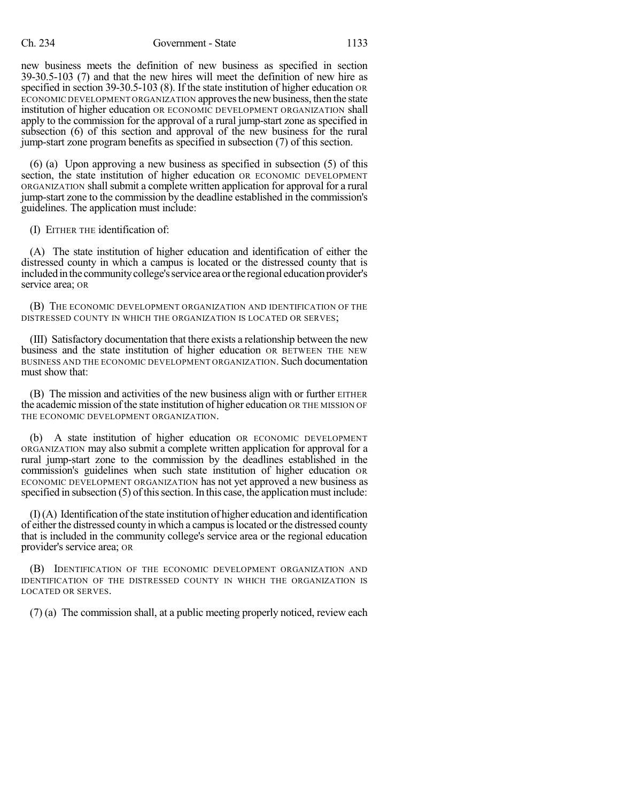#### Ch. 234 Government - State 1133

new business meets the definition of new business as specified in section 39-30.5-103 (7) and that the new hires will meet the definition of new hire as specified in section 39-30.5-103 (8). If the state institution of higher education OR ECONOMIC DEVELOPMENT ORGANIZATION approves the new business, then the state institution of higher education OR ECONOMIC DEVELOPMENT ORGANIZATION shall apply to the commission for the approval of a rural jump-start zone as specified in subsection (6) of this section and approval of the new business for the rural jump-start zone program benefits as specified in subsection (7) of this section.

(6) (a) Upon approving a new business as specified in subsection (5) of this section, the state institution of higher education OR ECONOMIC DEVELOPMENT ORGANIZATION shall submit a complete written application for approval for a rural jump-start zone to the commission by the deadline established in the commission's guidelines. The application must include:

(I) EITHER THE identification of:

(A) The state institution of higher education and identification of either the distressed county in which a campus is located or the distressed county that is included in the community college's service area or the regional education provider's service area; OR

(B) THE ECONOMIC DEVELOPMENT ORGANIZATION AND IDENTIFICATION OF THE DISTRESSED COUNTY IN WHICH THE ORGANIZATION IS LOCATED OR SERVES;

(III) Satisfactory documentation that there exists a relationship between the new business and the state institution of higher education OR BETWEEN THE NEW BUSINESS AND THE ECONOMIC DEVELOPMENT ORGANIZATION. Such documentation must show that:

(B) The mission and activities of the new business align with or further EITHER the academic mission of the state institution of higher education OR THE MISSION OF THE ECONOMIC DEVELOPMENT ORGANIZATION.

(b) A state institution of higher education OR ECONOMIC DEVELOPMENT ORGANIZATION may also submit a complete written application for approval for a rural jump-start zone to the commission by the deadlines established in the commission's guidelines when such state institution of higher education OR ECONOMIC DEVELOPMENT ORGANIZATION has not yet approved a new business as specified in subsection  $(5)$  of this section. In this case, the application must include:

 $(I)$  (A) Identification of the state institution of higher education and identification of either the distressed county in which a campus is located or the distressed county that is included in the community college's service area or the regional education provider's service area; OR

(B) IDENTIFICATION OF THE ECONOMIC DEVELOPMENT ORGANIZATION AND IDENTIFICATION OF THE DISTRESSED COUNTY IN WHICH THE ORGANIZATION IS LOCATED OR SERVES.

(7) (a) The commission shall, at a public meeting properly noticed, review each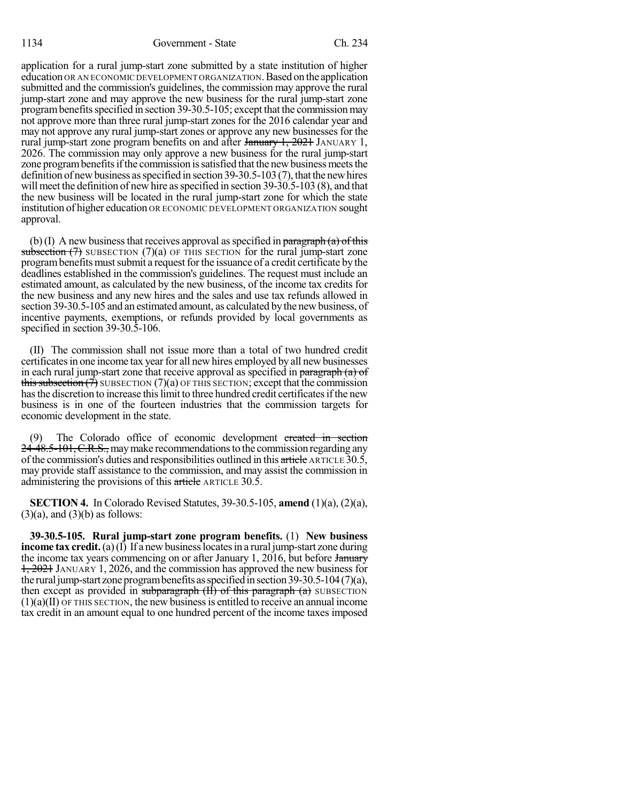### 1134 Government - State Ch. 234

application for a rural jump-start zone submitted by a state institution of higher education OR AN ECONOMIC DEVELOPMENT ORGANIZATION.Based on the application submitted and the commission's guidelines, the commission may approve the rural jump-start zone and may approve the new business for the rural jump-start zone program benefits specified in section 39-30.5-105; except that the commission may not approve more than three rural jump-start zones for the 2016 calendar year and may not approve any rural jump-start zones or approve any new businesses for the rural jump-start zone program benefits on and after  $\frac{1}{2021}$ ,  $\frac{1}{2021}$  JANUARY 1, 2026. The commission may only approve a new business for the rural jump-start zone program benefits if the commission is satisfied that the new business meets the definition of new business as specified in section  $39-30.5-103(7)$ , that the new hires will meet the definition of new hire as specified in section 39-30.5-103 (8), and that the new business will be located in the rural jump-start zone for which the state institution of higher education OR ECONOMIC DEVELOPMENT ORGANIZATION sought approval.

(b)(I) A new business that receives approval as specified in paragraph (a) of this subsection  $(7)$  SUBSECTION  $(7)(a)$  OF THIS SECTION for the rural jump-start zone program benefits must submit a request for the issuance of a credit certificate by the deadlines established in the commission's guidelines. The request must include an estimated amount, as calculated by the new business, of the income tax credits for the new business and any new hires and the sales and use tax refunds allowed in section 39-30.5-105 and an estimated amount, as calculated by the new business, of incentive payments, exemptions, or refunds provided by local governments as specified in section 39-30.5-106.

(II) The commission shall not issue more than a total of two hundred credit certificates in one income tax year for all new hires employed by all new businesses in each rural jump-start zone that receive approval as specified in paragraph (a) of this subsection  $(\bar{\tau})$  SUBSECTION  $(7)(a)$  OF THIS SECTION; except that the commission has the discretion to increase this limit to three hundred credit certificates if the new business is in one of the fourteen industries that the commission targets for economic development in the state.

The Colorado office of economic development created in section 24-48.5-101, C.R.S., may make recommendations to the commission regarding any ofthe commission's duties and responsibilities outlined in this article ARTICLE 30.5, may provide staff assistance to the commission, and may assist the commission in administering the provisions of this article ARTICLE 30.5.

**SECTION 4.** In Colorado Revised Statutes, 39-30.5-105, **amend** (1)(a), (2)(a),  $(3)(a)$ , and  $(3)(b)$  as follows:

**39-30.5-105. Rural jump-start zone program benefits.** (1) **New business income tax credit.** (a)(I) If a new business locates in a rural jump-start zone during the income tax years commencing on or after January 1, 2016, but before January 1, 2021 JANUARY 1, 2026, and the commission has approved the new business for the rural jump-start zone program benefits as specified in section 39-30.5-104 (7)(a), then except as provided in subparagraph  $(H)$  of this paragraph  $(a)$  SUBSECTION  $(1)(a)(II)$  OF THIS SECTION, the new business is entitled to receive an annual income tax credit in an amount equal to one hundred percent of the income taxes imposed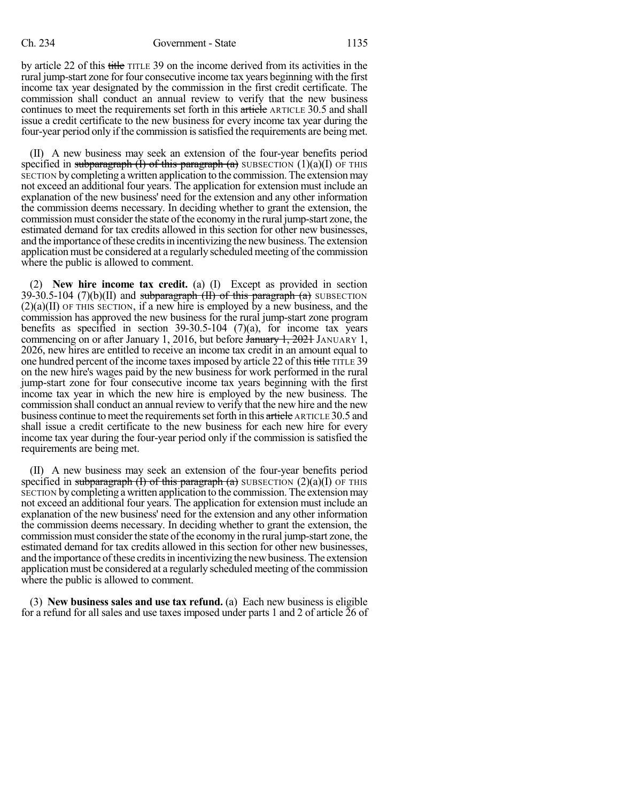by article 22 of this title TITLE 39 on the income derived from its activities in the rural jump-start zone for four consecutive income tax years beginning with the first income tax year designated by the commission in the first credit certificate. The commission shall conduct an annual review to verify that the new business continues to meet the requirements set forth in this article ARTICLE 30.5 and shall issue a credit certificate to the new business for every income tax year during the four-year period only if the commission issatisfied the requirements are being met.

(II) A new business may seek an extension of the four-year benefits period specified in subparagraph (I) of this paragraph (a) SUBSECTION (1)(a)(I) OF THIS SECTION bycompleting a written application to the commission.The extensionmay not exceed an additional four years. The application for extension must include an explanation of the new business' need for the extension and any other information the commission deems necessary. In deciding whether to grant the extension, the commission must consider the state ofthe economy in the rural jump-start zone, the estimated demand for tax credits allowed in this section for other new businesses, and the importance ofthese creditsin incentivizing the newbusiness.The extension application must be considered at a regularly scheduled meeting of the commission where the public is allowed to comment.

(2) **New hire income tax credit.** (a) (I) Except as provided in section 39-30.5-104 (7)(b)(II) and subparagraph  $(H)$  of this paragraph  $(a)$  SUBSECTION  $(2)(a)(II)$  OF THIS SECTION, if a new hire is employed by a new business, and the commission has approved the new business for the rural jump-start zone program benefits as specified in section  $39-30.5-104$  (7)(a), for income tax years commencing on or after January 1, 2016, but before January 1, 2021 JANUARY 1, 2026, new hires are entitled to receive an income tax credit in an amount equal to one hundred percent of the income taxes imposed by article 22 of this title TITLE 39 on the new hire's wages paid by the new business for work performed in the rural jump-start zone for four consecutive income tax years beginning with the first income tax year in which the new hire is employed by the new business. The commission shall conduct an annual review to verify that the new hire and the new business continue to meet the requirements set forth in this article ARTICLE 30.5 and shall issue a credit certificate to the new business for each new hire for every income tax year during the four-year period only if the commission is satisfied the requirements are being met.

(II) A new business may seek an extension of the four-year benefits period specified in subparagraph (I) of this paragraph (a) SUBSECTION (2)(a)(I) OF THIS SECTION bycompleting a written application to the commission. The extensionmay not exceed an additional four years. The application for extension must include an explanation of the new business' need for the extension and any other information the commission deems necessary. In deciding whether to grant the extension, the commission must consider the state of the economy in the rural jump-start zone, the estimated demand for tax credits allowed in this section for other new businesses, and the importance of these credits in incentivizing the new business. The extension application must be considered at a regularly scheduled meeting ofthe commission where the public is allowed to comment.

(3) **New business sales and use tax refund.** (a) Each new business is eligible for a refund for all sales and use taxes imposed under parts 1 and 2 of article 26 of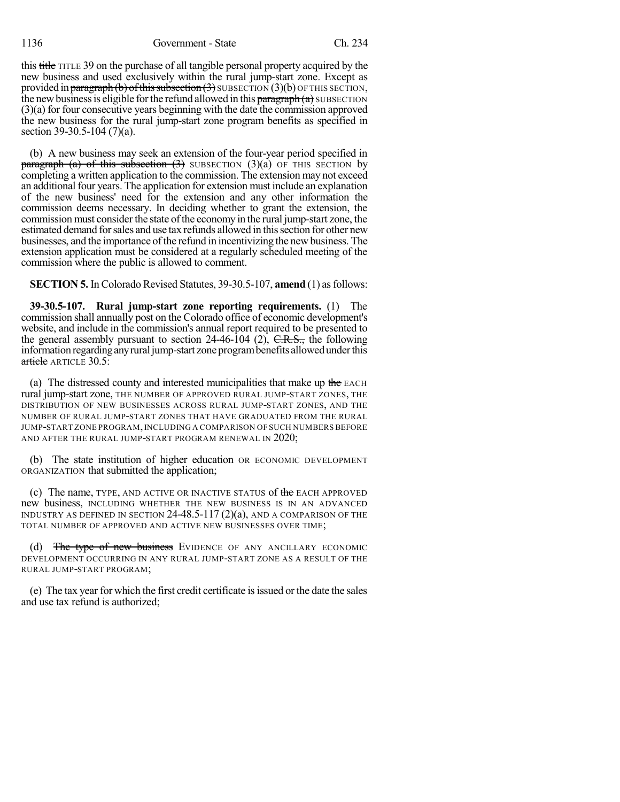#### 1136 Government - State Ch. 234

this title TITLE 39 on the purchase of all tangible personal property acquired by the new business and used exclusively within the rural jump-start zone. Except as provided in paragraph (b) of this subsection  $(3)$  SUBSECTION  $(3)(b)$  OF THIS SECTION, the new business is eligible for the refund allowed in this  $\frac{\partial^2 f}{\partial x^2}$  subsection (3)(a) for four consecutive years beginning with the date the commission approved the new business for the rural jump-start zone program benefits as specified in section 39-30.5-104 (7)(a).

(b) A new business may seek an extension of the four-year period specified in paragraph (a) of this subsection  $(3)$  SUBSECTION  $(3)(a)$  OF THIS SECTION by completing a written application to the commission. The extension may not exceed an additional four years. The application for extension must include an explanation of the new business' need for the extension and any other information the commission deems necessary. In deciding whether to grant the extension, the commission must consider the state ofthe economy in the rural jump-start zone, the estimated demand forsales and use tax refunds allowed in thissection for other new businesses, and the importance of the refund in incentivizing the new business. The extension application must be considered at a regularly scheduled meeting of the commission where the public is allowed to comment.

**SECTION 5.** In Colorado Revised Statutes, 39-30.5-107, **amend** (1) asfollows:

**39-30.5-107. Rural jump-start zone reporting requirements.** (1) The commission shall annually post on the Colorado office of economic development's website, and include in the commission's annual report required to be presented to the general assembly pursuant to section 24-46-104 (2),  $C.R.S.,$  the following information regarding any rural jump-start zone program benefits allowed under this  $article$  ARTICLE 30.5:

(a) The distressed county and interested municipalities that make up the EACH rural jump-start zone, THE NUMBER OF APPROVED RURAL JUMP-START ZONES, THE DISTRIBUTION OF NEW BUSINESSES ACROSS RURAL JUMP-START ZONES, AND THE NUMBER OF RURAL JUMP-START ZONES THAT HAVE GRADUATED FROM THE RURAL JUMP-START ZONE PROGRAM,INCLUDING A COMPARISON OF SUCH NUMBERS BEFORE AND AFTER THE RURAL JUMP-START PROGRAM RENEWAL IN 2020;

(b) The state institution of higher education OR ECONOMIC DEVELOPMENT ORGANIZATION that submitted the application;

(c) The name, TYPE, AND ACTIVE OR INACTIVE STATUS of the EACH APPROVED new business, INCLUDING WHETHER THE NEW BUSINESS IS IN AN ADVANCED INDUSTRY AS DEFINED IN SECTION 24-48.5-117 (2)(a), AND A COMPARISON OF THE TOTAL NUMBER OF APPROVED AND ACTIVE NEW BUSINESSES OVER TIME;

(d) The type of new business EVIDENCE OF ANY ANCILLARY ECONOMIC DEVELOPMENT OCCURRING IN ANY RURAL JUMP-START ZONE AS A RESULT OF THE RURAL JUMP-START PROGRAM;

(e) The tax year for which the first credit certificate isissued or the date the sales and use tax refund is authorized;